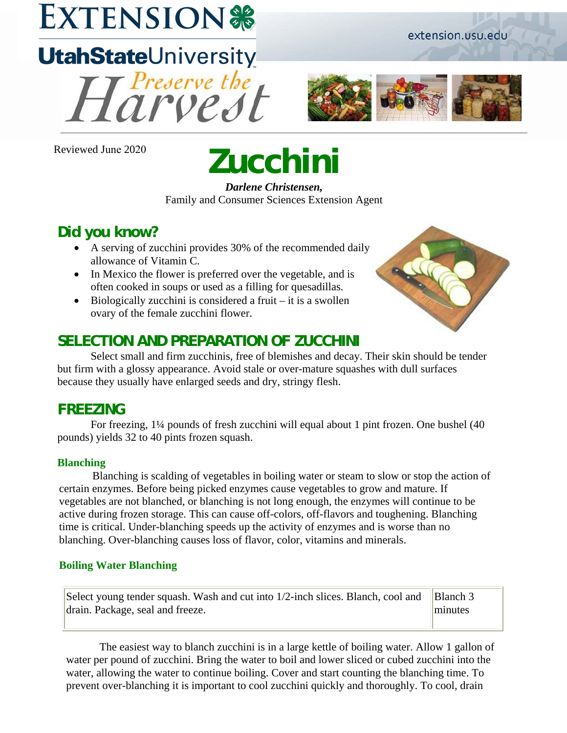## **EXTENSION®**

# **UtahStateUniversity**



Reviewed June 2020

## **Zucchini**

*Darlene Christensen,*  Family and Consumer Sciences Extension Agent

## **Did you know?**

- A serving of zucchini provides 30% of the recommended daily allowance of Vitamin C.
- In Mexico the flower is preferred over the vegetable, and is often cooked in soups or used as a filling for quesadillas.
- Biologically zucchini is considered a fruit  $-$  it is a swollen ovary of the female zucchini flower.

## **SELECTION AND PREPARATION OF ZUCCHINI**

Select small and firm zucchinis, free of blemishes and decay. Their skin should be tender but firm with a glossy appearance. Avoid stale or over-mature squashes with dull surfaces because they usually have enlarged seeds and dry, stringy flesh.

## **FREEZING**

For freezing, 1¼ pounds of fresh zucchini will equal about 1 pint frozen. One bushel (40 pounds) yields 32 to 40 pints frozen squash.

#### **Blanching**

Blanching is scalding of vegetables in boiling water or steam to slow or stop the action of certain enzymes. Before being picked enzymes cause vegetables to grow and mature. If vegetables are not blanched, or blanching is not long enough, the enzymes will continue to be active during frozen storage. This can cause off-colors, off-flavors and toughening. Blanching time is critical. Under-blanching speeds up the activity of enzymes and is worse than no blanching. Over-blanching causes loss of flavor, color, vitamins and minerals.

#### **Boiling Water Blanching**

Select young tender squash. Wash and cut into 1/2-inch slices. Blanch, cool and drain. Package, seal and freeze. Blanch 3

minutes

The easiest way to blanch zucchini is in a large kettle of boiling water. Allow 1 gallon of water per pound of zucchini. Bring the water to boil and lower sliced or cubed zucchini into the water, allowing the water to continue boiling. Cover and start counting the blanching time. To prevent over-blanching it is important to cool zucchini quickly and thoroughly. To cool, drain

extension.usu.edu

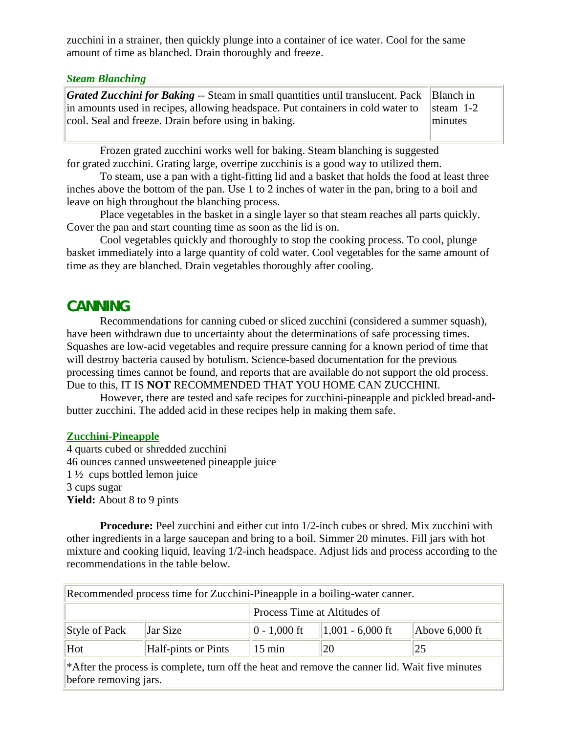zucchini in a strainer, then quickly plunge into a container of ice water. Cool for the same amount of time as blanched. Drain thoroughly and freeze.

#### *Steam Blanching*

| <b>Grated Zucchini for Baking -- Steam in small quantities until translucent. Pack</b> Blanch in      |         |
|-------------------------------------------------------------------------------------------------------|---------|
| in amounts used in recipes, allowing headspace. Put containers in cold water to $\parallel$ steam 1-2 |         |
| cool. Seal and freeze. Drain before using in baking.                                                  | minutes |

Frozen grated zucchini works well for baking. Steam blanching is suggested for grated zucchini. Grating large, overripe zucchinis is a good way to utilized them.

To steam, use a pan with a tight-fitting lid and a basket that holds the food at least three inches above the bottom of the pan. Use 1 to 2 inches of water in the pan, bring to a boil and leave on high throughout the blanching process.

Place vegetables in the basket in a single layer so that steam reaches all parts quickly. Cover the pan and start counting time as soon as the lid is on.

Cool vegetables quickly and thoroughly to stop the cooking process. To cool, plunge basket immediately into a large quantity of cold water. Cool vegetables for the same amount of time as they are blanched. Drain vegetables thoroughly after cooling.

#### **CANNING**

Recommendations for canning cubed or sliced zucchini (considered a summer squash), have been withdrawn due to uncertainty about the determinations of safe processing times. Squashes are low-acid vegetables and require pressure canning for a known period of time that will destroy bacteria caused by botulism. Science-based documentation for the previous processing times cannot be found, and reports that are available do not support the old process. Due to this, IT IS **NOT** RECOMMENDED THAT YOU HOME CAN ZUCCHINI.

However, there are tested and safe recipes for zucchini-pineapple and pickled bread-andbutter zucchini. The added acid in these recipes help in making them safe.

#### **Zucchini-Pineapple**

4 quarts cubed or shredded zucchini 46 ounces canned unsweetened pineapple juice 1 ½ cups bottled lemon juice 3 cups sugar **Yield:** About 8 to 9 pints

**Procedure:** Peel zucchini and either cut into 1/2-inch cubes or shred. Mix zucchini with other ingredients in a large saucepan and bring to a boil. Simmer 20 minutes. Fill jars with hot mixture and cooking liquid, leaving 1/2-inch headspace. Adjust lids and process according to the recommendations in the table below.

| Recommended process time for Zucchini-Pineapple in a boiling-water canner. |                            |                  |                              |                  |  |  |
|----------------------------------------------------------------------------|----------------------------|------------------|------------------------------|------------------|--|--|
|                                                                            |                            |                  | Process Time at Altitudes of |                  |  |  |
| Style of Pack                                                              | Jar Size                   | $ 0 - 1,000$ ft  | $1,001 - 6,000$ ft           | Above $6,000$ ft |  |  |
| Hot                                                                        | <b>Half-pints or Pints</b> | $15 \text{ min}$ | 20                           | 25               |  |  |

\*After the process is complete, turn off the heat and remove the canner lid. Wait five minutes before removing jars.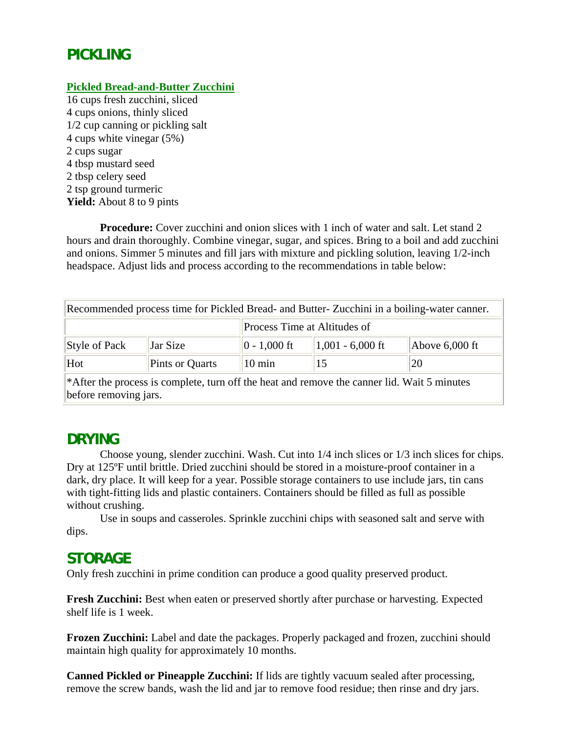## **PICKLING**

#### **Pickled Bread-and-Butter Zucchini**

16 cups fresh zucchini, sliced 4 cups onions, thinly sliced 1/2 cup canning or pickling salt 4 cups white vinegar (5%) 2 cups sugar 4 tbsp mustard seed 2 tbsp celery seed 2 tsp ground turmeric **Yield:** About 8 to 9 pints

**Procedure:** Cover zucchini and onion slices with 1 inch of water and salt. Let stand 2 hours and drain thoroughly. Combine vinegar, sugar, and spices. Bring to a boil and add zucchini and onions. Simmer 5 minutes and fill jars with mixture and pickling solution, leaving 1/2-inch headspace. Adjust lids and process according to the recommendations in table below:

| Recommended process time for Pickled Bread- and Butter-Zucchini in a boiling-water canner. |                 |                  |                              |                            |  |  |
|--------------------------------------------------------------------------------------------|-----------------|------------------|------------------------------|----------------------------|--|--|
|                                                                                            |                 |                  | Process Time at Altitudes of |                            |  |  |
| Style of Pack                                                                              | Jar Size        | $ 0 - 1,000$ ft  | $1,001 - 6,000$ ft           | Above $6,000$ ft           |  |  |
| Hot                                                                                        | Pints or Quarts | $10 \text{ min}$ | 15                           | 20                         |  |  |
| الجاري والمناقصة                                                                           |                 |                  |                              | $\cdots$ $\cdots$ $\cdots$ |  |  |

\*After the process is complete, turn off the heat and remove the canner lid. Wait 5 minutes before removing jars.

## **DRYING**

Choose young, slender zucchini. Wash. Cut into 1/4 inch slices or 1/3 inch slices for chips. Dry at 125ºF until brittle. Dried zucchini should be stored in a moisture-proof container in a dark, dry place. It will keep for a year. Possible storage containers to use include jars, tin cans with tight-fitting lids and plastic containers. Containers should be filled as full as possible without crushing.

Use in soups and casseroles. Sprinkle zucchini chips with seasoned salt and serve with dips.

### **STORAGE**

Only fresh zucchini in prime condition can produce a good quality preserved product.

**Fresh Zucchini:** Best when eaten or preserved shortly after purchase or harvesting. Expected shelf life is 1 week.

**Frozen Zucchini:** Label and date the packages. Properly packaged and frozen, zucchini should maintain high quality for approximately 10 months.

**Canned Pickled or Pineapple Zucchini:** If lids are tightly vacuum sealed after processing, remove the screw bands, wash the lid and jar to remove food residue; then rinse and dry jars.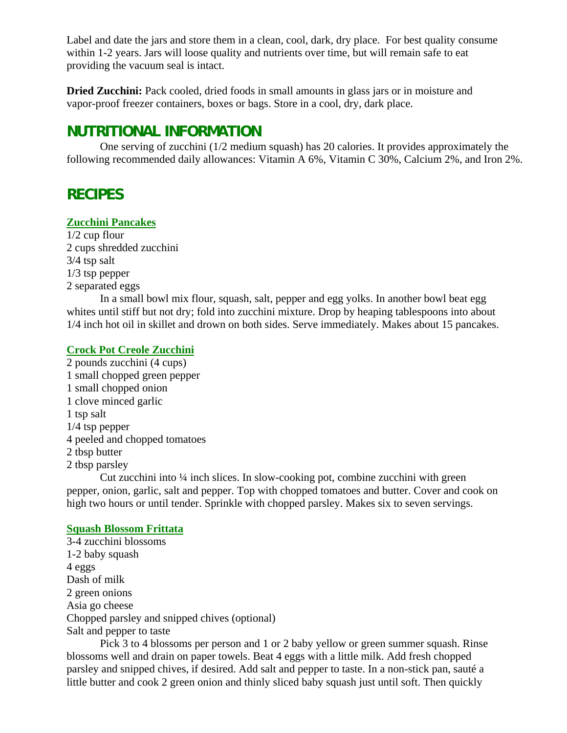Label and date the jars and store them in a clean, cool, dark, dry place. For best quality consume within 1-2 years. Jars will loose quality and nutrients over time, but will remain safe to eat providing the vacuum seal is intact.

**Dried Zucchini:** Pack cooled, dried foods in small amounts in glass jars or in moisture and vapor-proof freezer containers, boxes or bags. Store in a cool, dry, dark place.

## **NUTRITIONAL INFORMATION**

One serving of zucchini (1/2 medium squash) has 20 calories. It provides approximately the following recommended daily allowances: Vitamin A 6%, Vitamin C 30%, Calcium 2%, and Iron 2%.

## **RECIPES**

#### **Zucchini Pancakes**

1/2 cup flour 2 cups shredded zucchini 3/4 tsp salt 1/3 tsp pepper 2 separated eggs

In a small bowl mix flour, squash, salt, pepper and egg yolks. In another bowl beat egg whites until stiff but not dry; fold into zucchini mixture. Drop by heaping tablespoons into about 1/4 inch hot oil in skillet and drown on both sides. Serve immediately. Makes about 15 pancakes.

#### **Crock Pot Creole Zucchini**

2 pounds zucchini (4 cups) 1 small chopped green pepper 1 small chopped onion 1 clove minced garlic 1 tsp salt 1/4 tsp pepper 4 peeled and chopped tomatoes 2 tbsp butter 2 tbsp parsley

Cut zucchini into ¼ inch slices. In slow-cooking pot, combine zucchini with green pepper, onion, garlic, salt and pepper. Top with chopped tomatoes and butter. Cover and cook on high two hours or until tender. Sprinkle with chopped parsley. Makes six to seven servings.

#### **Squash Blossom Frittata**

3-4 zucchini blossoms 1-2 baby squash 4 eggs Dash of milk 2 green onions Asia go cheese Chopped parsley and snipped chives (optional) Salt and pepper to taste

Pick 3 to 4 blossoms per person and 1 or 2 baby yellow or green summer squash. Rinse blossoms well and drain on paper towels. Beat 4 eggs with a little milk. Add fresh chopped parsley and snipped chives, if desired. Add salt and pepper to taste. In a non-stick pan, sauté a little butter and cook 2 green onion and thinly sliced baby squash just until soft. Then quickly